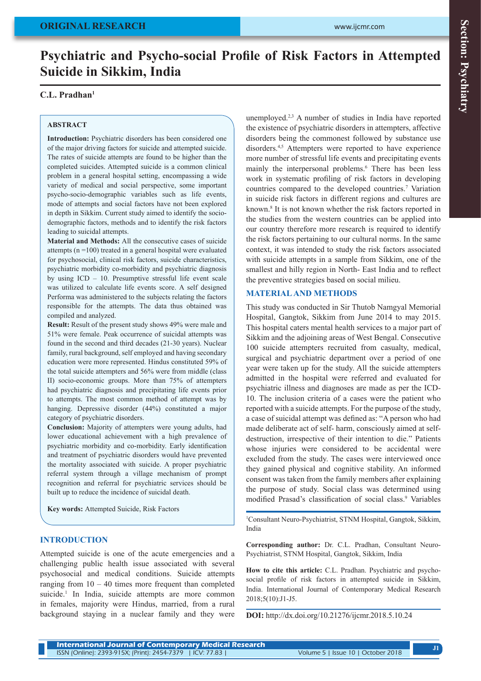# **Psychiatric and Psycho-social Profile of Risk Factors in Attempted Suicide in Sikkim, India**

## **C.L. Pradhan1**

#### **ABSTRACT**

**Introduction:** Psychiatric disorders has been considered one of the major driving factors for suicide and attempted suicide. The rates of suicide attempts are found to be higher than the completed suicides. Attempted suicide is a common clinical problem in a general hospital setting, encompassing a wide variety of medical and social perspective, some important psycho-socio-demographic variables such as life events, mode of attempts and social factors have not been explored in depth in Sikkim. Current study aimed to identify the sociodemographic factors, methods and to identify the risk factors leading to suicidal attempts.

**Material and Methods:** All the consecutive cases of suicide attempts (n =100) treated in a general hospital were evaluated for psychosocial, clinical risk factors, suicide characteristics, psychiatric morbidity co-morbidity and psychiatric diagnosis by using ICD – 10. Presumptive stressful life event scale was utilized to calculate life events score. A self designed Performa was administered to the subjects relating the factors responsible for the attempts. The data thus obtained was compiled and analyzed.

**Result:** Result of the present study shows 49% were male and 51% were female. Peak occurrence of suicidal attempts was found in the second and third decades (21-30 years). Nuclear family, rural background, self employed and having secondary education were more represented. Hindus constituted 59% of the total suicide attempters and 56% were from middle (class II) socio-economic groups. More than 75% of attempters had psychiatric diagnosis and precipitating life events prior to attempts. The most common method of attempt was by hanging. Depressive disorder (44%) constituted a major category of psychiatric disorders.

**Conclusion:** Majority of attempters were young adults, had lower educational achievement with a high prevalence of psychiatric morbidity and co-morbidity. Early identification and treatment of psychiatric disorders would have prevented the mortality associated with suicide. A proper psychiatric referral system through a village mechanism of prompt recognition and referral for psychiatric services should be built up to reduce the incidence of suicidal death.

**Key words:** Attempted Suicide, Risk Factors

### **INTRODUCTION**

Attempted suicide is one of the acute emergencies and a challenging public health issue associated with several psychosocial and medical conditions. Suicide attempts ranging from  $10 - 40$  times more frequent than completed suicide.<sup>1</sup> In India, suicide attempts are more common in females, majority were Hindus, married, from a rural background staying in a nuclear family and they were

unemployed.2,3 A number of studies in India have reported the existence of psychiatric disorders in attempters, affective disorders being the commonest followed by substance use disorders.4,5 Attempters were reported to have experience more number of stressful life events and precipitating events mainly the interpersonal problems.<sup>6</sup> There has been less work in systematic profiling of risk factors in developing countries compared to the developed countries.<sup>7</sup> Variation in suicide risk factors in different regions and cultures are known.8 It is not known whether the risk factors reported in the studies from the western countries can be applied into our country therefore more research is required to identify the risk factors pertaining to our cultural norms. In the same context, it was intended to study the risk factors associated with suicide attempts in a sample from Sikkim, one of the smallest and hilly region in North- East India and to reflect the preventive strategies based on social milieu.

### **MATERIAL AND METHODS**

This study was conducted in Sir Thutob Namgyal Memorial Hospital, Gangtok, Sikkim from June 2014 to may 2015. This hospital caters mental health services to a major part of Sikkim and the adjoining areas of West Bengal. Consecutive 100 suicide attempters recruited from casualty, medical, surgical and psychiatric department over a period of one year were taken up for the study. All the suicide attempters admitted in the hospital were referred and evaluated for psychiatric illness and diagnoses are made as per the ICD-10. The inclusion criteria of a cases were the patient who reported with a suicide attempts. For the purpose of the study, a case of suicidal attempt was defined as: "A person who had made deliberate act of self- harm, consciously aimed at selfdestruction, irrespective of their intention to die." Patients whose injuries were considered to be accidental were excluded from the study. The cases were interviewed once they gained physical and cognitive stability. An informed consent was taken from the family members after explaining the purpose of study. Social class was determined using modified Prasad's classification of social class.<sup>9</sup> Variables

1 Consultant Neuro-Psychiatrist, STNM Hospital, Gangtok, Sikkim, India

**Corresponding author:** Dr. C.L. Pradhan, Consultant Neuro-Psychiatrist, STNM Hospital, Gangtok, Sikkim, India

**How to cite this article:** C.L. Pradhan. Psychiatric and psychosocial profile of risk factors in attempted suicide in Sikkim, India. International Journal of Contemporary Medical Research 2018;5(10):J1-J5.

**DOI:** http://dx.doi.org/10.21276/ijcmr.2018.5.10.24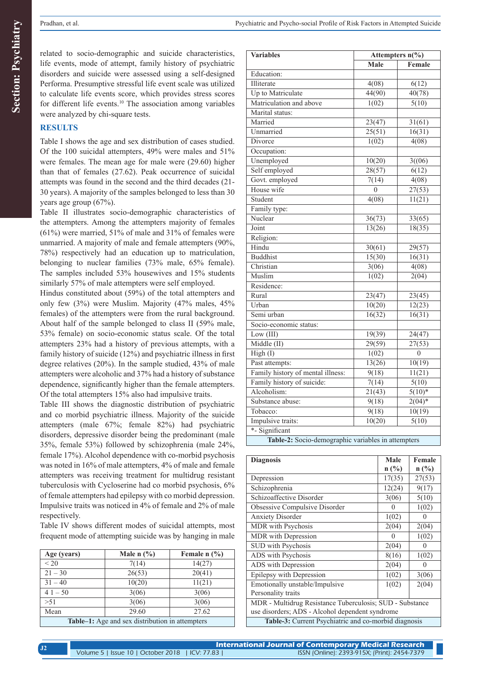**Section: Psychiatry Section: Psychiatry**

related to socio-demographic and suicide characteristics, life events, mode of attempt, family history of psychiatric disorders and suicide were assessed using a self-designed Performa. Presumptive stressful life event scale was utilized to calculate life events score, which provides stress scores for different life events.10 The association among variables were analyzed by chi-square tests.

## **RESULTS**

Table I shows the age and sex distribution of cases studied. Of the 100 suicidal attempters, 49% were males and 51% were females. The mean age for male were (29.60) higher than that of females (27.62). Peak occurrence of suicidal attempts was found in the second and the third decades (21- 30 years). A majority of the samples belonged to less than 30 years age group (67%).

Table II illustrates socio-demographic characteristics of the attempters. Among the attempters majority of females (61%) were married, 51% of male and 31% of females were unmarried. A majority of male and female attempters (90%, 78%) respectively had an education up to matriculation, belonging to nuclear families (73% male, 65% female). The samples included 53% housewives and 15% students similarly 57% of male attempters were self employed.

Hindus constituted about (59%) of the total attempters and only few (3%) were Muslim. Majority (47% males, 45% females) of the attempters were from the rural background. About half of the sample belonged to class II (59% male, 53% female) on socio-economic status scale. Of the total attempters 23% had a history of previous attempts, with a family history of suicide (12%) and psychiatric illness in first degree relatives (20%). In the sample studied, 43% of male attempters were alcoholic and 37% had a history of substance dependence, significantly higher than the female attempters. Of the total attempters 15% also had impulsive traits.

Table III shows the diagnostic distribution of psychiatric and co morbid psychiatric illness. Majority of the suicide attempters (male 67%; female 82%) had psychiatric disorders, depressive disorder being the predominant (male 35%, female 53%) followed by schizophrenia (male 24%, female 17%). Alcohol dependence with co-morbid psychosis was noted in 16% of male attempters, 4% of male and female attempters was receiving treatment for multidrug resistant tuberculosis with Cycloserine had co morbid psychosis, 6% of female attempters had epilepsy with co morbid depression. Impulsive traits was noticed in 4% of female and 2% of male respectively.

Table IV shows different modes of suicidal attempts, most frequent mode of attempting suicide was by hanging in male

| Age (years)                                     | Male $n$ $\left(\frac{9}{6}\right)$ | Female $n$ $\left(\frac{9}{6}\right)$ |  |  |
|-------------------------------------------------|-------------------------------------|---------------------------------------|--|--|
| ${}_{20}$                                       | 7(14)                               | 14(27)                                |  |  |
| $21 - 30$                                       | 26(53)                              | 20(41)                                |  |  |
| $31 - 40$                                       | 10(20)                              | 11(21)                                |  |  |
| $41 - 50$                                       | 3(06)                               | 3(06)                                 |  |  |
| > 51                                            | 3(06)                               | 3(06)                                 |  |  |
| Mean                                            | 29.60                               | 27.62                                 |  |  |
| Table-1: Age and sex distribution in attempters |                                     |                                       |  |  |

| <b>Variables</b>                                   | Attempters n(%)   |          |  |  |
|----------------------------------------------------|-------------------|----------|--|--|
|                                                    | Male              | Female   |  |  |
| Education:                                         |                   |          |  |  |
| Illiterate                                         | 4(08)             | 6(12)    |  |  |
| Up to Matriculate                                  | 44(90)            | 40(78)   |  |  |
| Matriculation and above                            | 1(02)             | 5(10)    |  |  |
| Marital status:                                    |                   |          |  |  |
| Married                                            | 23(47)            | 31(61)   |  |  |
| Unmarried                                          | 25(51)            | 16(31)   |  |  |
| Divorce                                            | 1(02)             | 4(08)    |  |  |
| Occupation:                                        |                   |          |  |  |
| Unemployed                                         | 10(20)            | 3(06)    |  |  |
| Self employed                                      | 28(57)            | 6(12)    |  |  |
| Govt. employed                                     | 7(14)             | 4(08)    |  |  |
| House wife                                         | $\theta$          | 27(53)   |  |  |
| Student                                            | $\frac{4(08)}{2}$ | 11(21)   |  |  |
| Family type:                                       |                   |          |  |  |
| Nuclear                                            | 36(73)            | 33(65)   |  |  |
| Joint                                              | 13(26)            | 18(35)   |  |  |
| Religion:                                          |                   |          |  |  |
| Hindu                                              | 30(61)            | 29(57)   |  |  |
| <b>Buddhist</b>                                    | 15(30)            | 16(31)   |  |  |
| Christian                                          | 3(06)             | 4(08)    |  |  |
| Muslim                                             | 1(02)             | 2(04)    |  |  |
| Residence:                                         |                   |          |  |  |
| Rural                                              | 23(47)            | 23(45)   |  |  |
| Urban                                              | 10(20)            | 12(23)   |  |  |
| Semi urban                                         | 16(32)            | 16(31)   |  |  |
| Socio-economic status:                             |                   |          |  |  |
| Low (III)                                          | 19(39)            | 24(47)   |  |  |
| Middle $(II)$                                      | 29(59)            | 27(53)   |  |  |
| High (I)                                           | 1(02)             | $\theta$ |  |  |
| Past attempts:                                     | 13(26)            | 10(19)   |  |  |
| Family history of mental illness:                  | 9(18)             | 11(21)   |  |  |
| Family history of suicide:                         | 7(14)             | 5(10)    |  |  |
| Alcoholism:                                        | 21(43)            | $5(10)*$ |  |  |
| Substance abuse:                                   | 9(18)             | $2(04)*$ |  |  |
| Tobacco:                                           | 9(18)             | 10(19)   |  |  |
| Impulsive traits:                                  | 10(20)            | 5(10)    |  |  |
| *- Significant                                     |                   |          |  |  |
| Table-2: Socio-demographic variables in attempters |                   |          |  |  |

| <b>Diagnosis</b>                                         | Male         | Female   |  |
|----------------------------------------------------------|--------------|----------|--|
|                                                          | $n$ (%)      | $n$ (%)  |  |
| Depression                                               | 17(35)       | 27(53)   |  |
| Schizophrenia                                            | 12(24)       | 9(17)    |  |
| Schizoaffective Disorder                                 | 3(06)        | 5(10)    |  |
| Obsessive Compulsive Disorder                            | $\mathbf{0}$ | 1(02)    |  |
| <b>Anxiety Disorder</b>                                  | 1(02)        | $\theta$ |  |
| MDR with Psychosis                                       | 2(04)        | 2(04)    |  |
| MDR with Depression                                      | 0            | 1(02)    |  |
| SUD with Psychosis                                       | 2(04)        | $\theta$ |  |
| ADS with Psychosis                                       | 8(16)        | 1(02)    |  |
| ADS with Depression                                      | 2(04)        | 0        |  |
| Epilepsy with Depression                                 | 1(02)        | 3(06)    |  |
| Emotionally unstable/Impulsive                           | 1(02)        | 2(04)    |  |
| Personality traits                                       |              |          |  |
| MDR - Multidrug Resistance Tuberculosis; SUD - Substance |              |          |  |
| use disorders; ADS - Alcohol dependent syndrome          |              |          |  |
| Table-3: Current Psychiatric and co-morbid diagnosis     |              |          |  |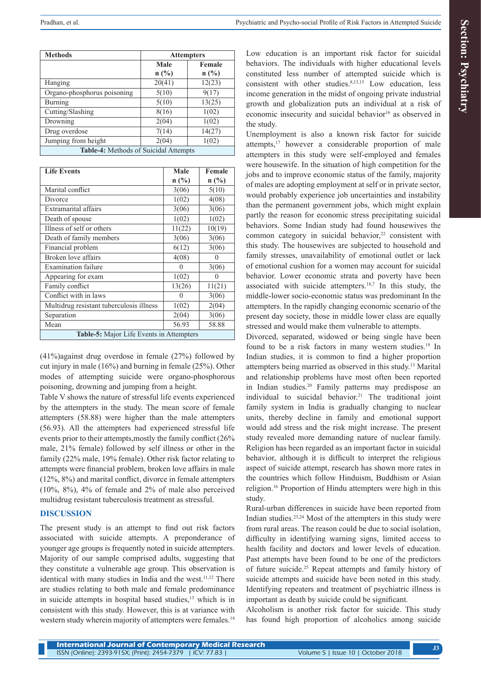| $\sim$ |
|--------|
|        |
| ij     |
|        |
|        |
|        |
|        |
|        |
|        |
|        |
|        |
|        |
|        |
|        |
| t,     |
|        |

| <b>Methods</b>                               | <b>Attempters</b> |                |  |
|----------------------------------------------|-------------------|----------------|--|
|                                              | Male              | Female         |  |
|                                              | $n(^{0}/_{0})$    | $n(^{0}/_{0})$ |  |
| Hanging                                      | 20(41)            | 12(23)         |  |
| Organo-phosphorus poisoning                  | 5(10)             | 9(17)          |  |
| Burning                                      | 5(10)             | 13(25)         |  |
| Cutting/Slashing                             | 8(16)             | 1(02)          |  |
| Drowning                                     | 2(04)             | 1(02)          |  |
| Drug overdose                                | 7(14)             | 14(27)         |  |
| Jumping from height                          | 2(04)             | 1(02)          |  |
| <b>Table-4:</b> Methods of Suicidal Attempts |                   |                |  |

| <b>Life Events</b>                       | Male           | Female         |
|------------------------------------------|----------------|----------------|
|                                          | $n(^{0}/_{0})$ | $n(^{0}/_{0})$ |
| Marital conflict                         | 3(06)          | 5(10)          |
| Divorce                                  | 1(02)          | 4(08)          |
| Extramarital affairs                     | 3(06)          | 3(06)          |
| Death of spouse                          | 1(02)          | 1(02)          |
| Illness of self or others                | 11(22)         | 10(19)         |
| Death of family members                  | 3(06)          | 3(06)          |
| Financial problem                        | 6(12)          | 3(06)          |
| Broken love affairs                      | 4(08)          |                |
| <b>Examination failure</b>               | $\theta$       | 3(06)          |
| Appearing for exam                       | 1(02)          |                |
| Family conflict                          | 13(26)         | 11(21)         |
| Conflict with in laws                    | 0              | 3(06)          |
| Multidrug resistant tuberculosis illness | 1(02)          | 2(04)          |
| Separation                               | 2(04)          | 3(06)          |
| Mean                                     | 56.93          | 58.88          |
| Table-5: Major Life Events in Attempters |                |                |

(41%)against drug overdose in female (27%) followed by cut injury in male (16%) and burning in female (25%). Other modes of attempting suicide were organo-phosphorous poisoning, drowning and jumping from a height.

Table V shows the nature of stressful life events experienced by the attempters in the study. The mean score of female attempters (58.88) were higher than the male attempters (56.93). All the attempters had experienced stressful life events prior to their attempts,mostly the family conflict (26% male, 21% female) followed by self illness or other in the family (22% male, 19% female). Other risk factor relating to attempts were financial problem, broken love affairs in male (12%, 8%) and marital conflict, divorce in female attempters (10%, 8%), 4% of female and 2% of male also perceived multidrug resistant tuberculosis treatment as stressful.

## **DISCUSSION**

The present study is an attempt to find out risk factors associated with suicide attempts. A preponderance of younger age groups is frequently noted in suicide attempters. Majority of our sample comprised adults, suggesting that they constitute a vulnerable age group. This observation is identical with many studies in India and the west.<sup>11,12</sup> There are studies relating to both male and female predominance in suicide attempts in hospital based studies,<sup>13</sup> which is in consistent with this study. However, this is at variance with western study wherein majority of attempters were females.<sup>14</sup> Low education is an important risk factor for suicidal behaviors. The individuals with higher educational levels constituted less number of attempted suicide which is consistent with other studies.<sup>8,13,15</sup> Low education, less income generation in the midst of ongoing private industrial growth and globalization puts an individual at a risk of economic insecurity and suicidal behavior<sup>16</sup> as observed in the study.

Unemployment is also a known risk factor for suicide attempts,17 however a considerable proportion of male attempters in this study were self-employed and females were housewife. In the situation of high competition for the jobs and to improve economic status of the family, majority of males are adopting employment at self or in private sector, would probably experience job uncertainties and instability than the permanent government jobs, which might explain partly the reason for economic stress precipitating suicidal behaviors. Some Indian study had found housewives the common category in suicidal behavior, $22$  consistent with this study. The housewives are subjected to household and family stresses, unavailability of emotional outlet or lack of emotional cushion for a women may account for suicidal behavior. Lower economic strata and poverty have been associated with suicide attempters.<sup>18,7</sup> In this study, the middle-lower socio-economic status was predominant In the attempters. In the rapidly changing economic scenario of the present day society, those in middle lower class are equally stressed and would make them vulnerable to attempts.

Divorced, separated, widowed or being single have been found to be a risk factors in many western studies.<sup>19</sup> In Indian studies, it is common to find a higher proportion attempters being married as observed in this study.13 Marital and relationship problems have most often been reported in Indian studies.20 Family patterns may predispose an individual to suicidal behavior.<sup>21</sup> The traditional joint family system in India is gradually changing to nuclear units, thereby decline in family and emotional support would add stress and the risk might increase. The present study revealed more demanding nature of nuclear family. Religion has been regarded as an important factor in suicidal behavior, although it is difficult to interpret the religious aspect of suicide attempt, research has shown more rates in the countries which follow Hinduism, Buddhism or Asian religion.16 Proportion of Hindu attempters were high in this study.

Rural-urban differences in suicide have been reported from Indian studies.23,24 Most of the attempters in this study were from rural areas. The reason could be due to social isolation, difficulty in identifying warning signs, limited access to health facility and doctors and lower levels of education. Past attempts have been found to be one of the predictors of future suicide.25 Repeat attempts and family history of suicide attempts and suicide have been noted in this study. Identifying repeaters and treatment of psychiatric illness is important as death by suicide could be significant.

Alcoholism is another risk factor for suicide. This study has found high proportion of alcoholics among suicide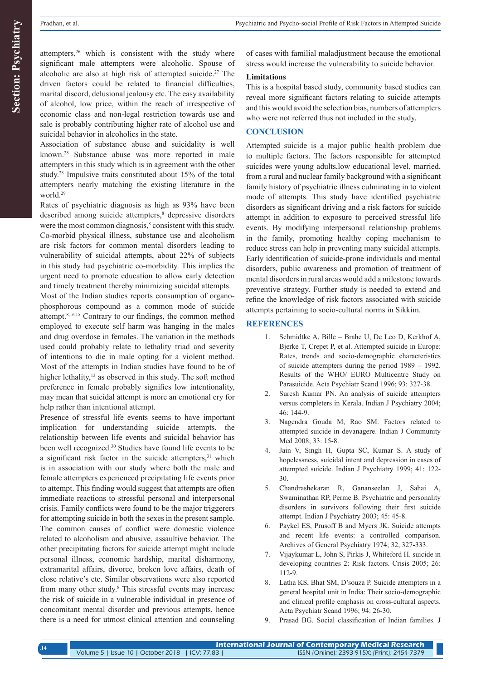**Section: Psychiatry Section: Psychiatry**

attempters, $26$  which is consistent with the study where significant male attempters were alcoholic. Spouse of alcoholic are also at high risk of attempted suicide.<sup>27</sup> The driven factors could be related to financial difficulties, marital discord, delusional jealousy etc. The easy availability of alcohol, low price, within the reach of irrespective of economic class and non-legal restriction towards use and sale is probably contributing higher rate of alcohol use and suicidal behavior in alcoholics in the state.

Association of substance abuse and suicidality is well known.28 Substance abuse was more reported in male attempters in this study which is in agreement with the other study.28 Impulsive traits constituted about 15% of the total attempters nearly matching the existing literature in the world.29

Rates of psychiatric diagnosis as high as 93% have been described among suicide attempters,<sup>8</sup> depressive disorders were the most common diagnosis,<sup>8</sup> consistent with this study. Co-morbid physical illness, substance use and alcoholism are risk factors for common mental disorders leading to vulnerability of suicidal attempts, about 22% of subjects in this study had psychiatric co-morbidity. This implies the urgent need to promote education to allow early detection and timely treatment thereby minimizing suicidal attempts.

Most of the Indian studies reports consumption of organophosphorous compound as a common mode of suicide attempt.8,16,15 Contrary to our findings, the common method employed to execute self harm was hanging in the males and drug overdose in females. The variation in the methods used could probably relate to lethality triad and severity of intentions to die in male opting for a violent method. Most of the attempts in Indian studies have found to be of higher lethality,<sup>13</sup> as observed in this study. The soft method preference in female probably signifies low intentionality, may mean that suicidal attempt is more an emotional cry for help rather than intentional attempt.

Presence of stressful life events seems to have important implication for understanding suicide attempts, the relationship between life events and suicidal behavior has been well recognized.30 Studies have found life events to be a significant risk factor in the suicide attempters.<sup>31</sup> which is in association with our study where both the male and female attempters experienced precipitating life events prior to attempt. This finding would suggest that attempts are often immediate reactions to stressful personal and interpersonal crisis. Family conflicts were found to be the major triggerers for attempting suicide in both the sexes in the present sample. The common causes of conflict were domestic violence related to alcoholism and abusive, assaultive behavior. The other precipitating factors for suicide attempt might include personal illness, economic hardship, marital disharmony, extramarital affairs, divorce, broken love affairs, death of close relative's etc. Similar observations were also reported from many other study.8 This stressful events may increase the risk of suicide in a vulnerable individual in presence of concomitant mental disorder and previous attempts, hence there is a need for utmost clinical attention and counseling

of cases with familial maladjustment because the emotional stress would increase the vulnerability to suicide behavior.

## **Limitations**

This is a hospital based study, community based studies can reveal more significant factors relating to suicide attempts and this would avoid the selection bias, numbers of attempters who were not referred thus not included in the study.

## **CONCLUSION**

Attempted suicide is a major public health problem due to multiple factors. The factors responsible for attempted suicides were young adults,low educational level, married, from a rural and nuclear family background with a significant family history of psychiatric illness culminating in to violent mode of attempts. This study have identified psychiatric disorders as significant driving and a risk factors for suicide attempt in addition to exposure to perceived stressful life events. By modifying interpersonal relationship problems in the family, promoting healthy coping mechanism to reduce stress can help in preventing many suicidal attempts. Early identification of suicide-prone individuals and mental disorders, public awareness and promotion of treatment of mental disorders in rural areas would add a milestone towards preventive strategy. Further study is needed to extend and refine the knowledge of risk factors associated with suicide attempts pertaining to socio-cultural norms in Sikkim.

## **REFERENCES**

- 1. Schmidtke A, Bille Brahe U, De Leo D, Kerkhof A, Bjerke T, Crepet P, et al. Attempted suicide in Europe: Rates, trends and socio-demographic characteristics of suicide attempters during the period 1989 – 1992. Results of the WHO/ EURO Multicentre Study on Parasuicide. Acta Psychiatr Scand 1996; 93: 327-38.
- 2. Suresh Kumar PN. An analysis of suicide attempters versus completers in Kerala. Indian J Psychiatry 2004; 46: 144-9.
- 3. Nagendra Gouda M, Rao SM. Factors related to attempted suicide in devanagere. Indian J Community Med 2008; 33: 15-8.
- 4. Jain V, Singh H, Gupta SC, Kumar S. A study of hopelessness, suicidal intent and depression in cases of attempted suicide. Indian J Psychiatry 1999; 41: 122- 30.
- 5. Chandrashekaran R, Gananseelan J, Sahai A, Swaminathan RP, Perme B. Psychiatric and personality disorders in survivors following their first suicide attempt. Indian J Psychiatry 2003; 45: 45-8.
- 6. Paykel ES, Prusoff B and Myers JK. Suicide attempts and recent life events: a controlled comparison. Archives of General Psychiatry 1974; 32, 327-333.
- 7. Vijaykumar L, John S, Pirkis J, Whiteford H. suicide in developing countries 2: Risk factors. Crisis 2005; 26: 112-9.
- 8. Latha KS, Bhat SM, D'souza P. Suicide attempters in a general hospital unit in India: Their socio-demographic and clinical profile emphasis on cross-cultural aspects. Acta Psychiatr Scand 1996; 94: 26-30.
- 9. Prasad BG. Social classification of Indian families. J